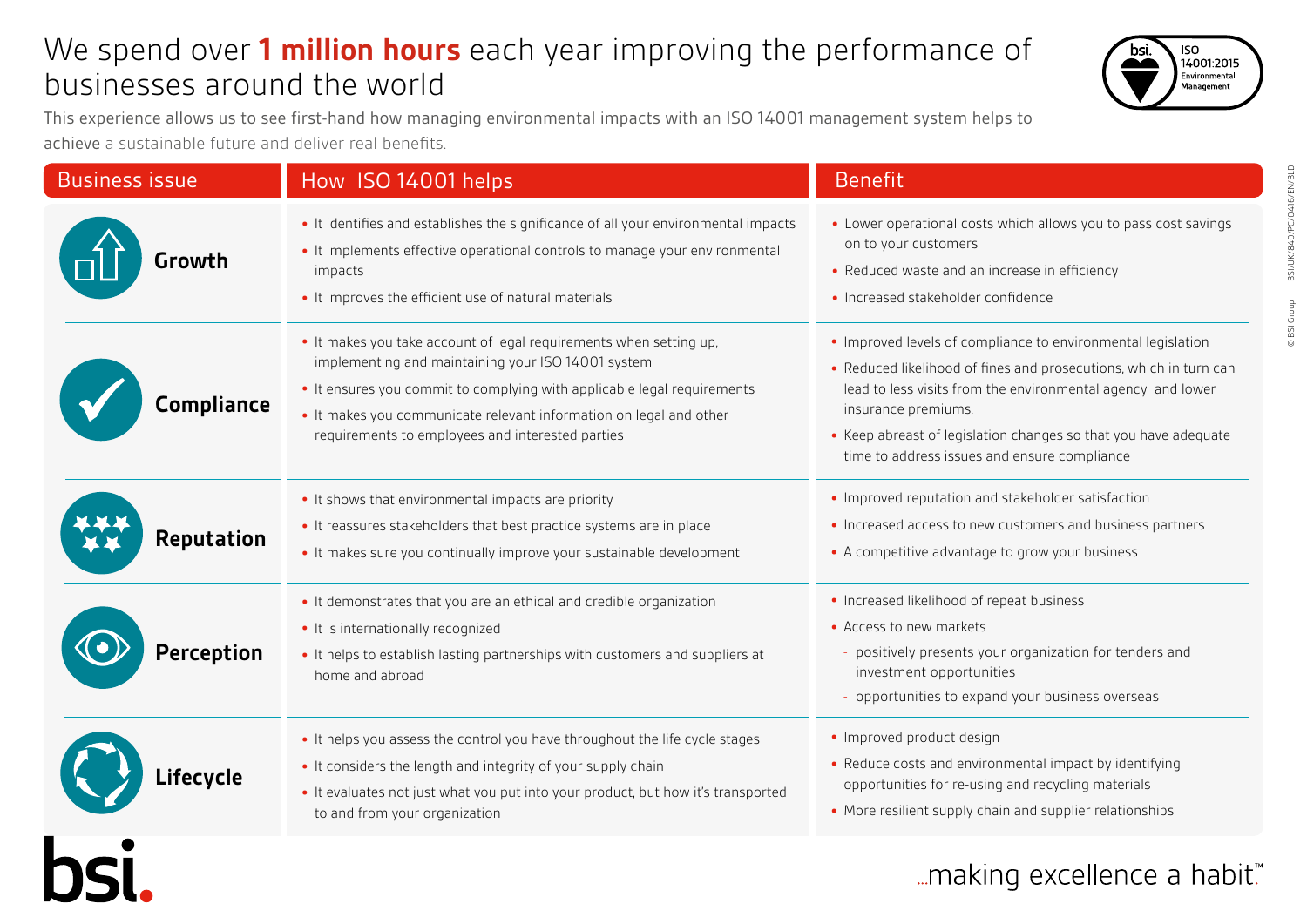# We spend over **1 million hours** each year improving the performance of businesses around the world

This experience allows us to see first-hand how managing environmental impacts with an ISO 14001 management system helps to achieve a sustainable future and deliver real benefits.

| <b>Business issue</b> | How ISO 14001 helps                                                                                                                                                                                                                                                                                                           | <b>Benefit</b>                                                                                                                                                                                                                                                                                                                             |
|-----------------------|-------------------------------------------------------------------------------------------------------------------------------------------------------------------------------------------------------------------------------------------------------------------------------------------------------------------------------|--------------------------------------------------------------------------------------------------------------------------------------------------------------------------------------------------------------------------------------------------------------------------------------------------------------------------------------------|
| Growth                | . It identifies and establishes the significance of all your environmental impacts<br>• It implements effective operational controls to manage your environmental<br>impacts<br>• It improves the efficient use of natural materials                                                                                          | • Lower operational costs which allows you to pass cost savings<br>on to your customers<br>• Reduced waste and an increase in efficiency<br>· Increased stakeholder confidence                                                                                                                                                             |
| Compliance            | • It makes you take account of legal requirements when setting up,<br>implementing and maintaining your ISO 14001 system<br>• It ensures you commit to complying with applicable legal requirements<br>. It makes you communicate relevant information on legal and other<br>requirements to employees and interested parties | • Improved levels of compliance to environmental legislation<br>• Reduced likelihood of fines and prosecutions, which in turn can<br>lead to less visits from the environmental agency and lower<br>insurance premiums.<br>• Keep abreast of legislation changes so that you have adequate<br>time to address issues and ensure compliance |
| <b>Reputation</b>     | • It shows that environmental impacts are priority<br>• It reassures stakeholders that best practice systems are in place<br>• It makes sure you continually improve your sustainable development                                                                                                                             | • Improved reputation and stakeholder satisfaction<br>• Increased access to new customers and business partners<br>• A competitive advantage to grow your business                                                                                                                                                                         |
| <b>Perception</b>     | • It demonstrates that you are an ethical and credible organization<br>• It is internationally recognized<br>. It helps to establish lasting partnerships with customers and suppliers at<br>home and abroad                                                                                                                  | • Increased likelihood of repeat business<br>• Access to new markets<br>- positively presents your organization for tenders and<br>investment opportunities<br>- opportunities to expand your business overseas                                                                                                                            |
| Lifecycle             | . It helps you assess the control you have throughout the life cycle stages<br>• It considers the length and integrity of your supply chain<br>. It evaluates not just what you put into your product, but how it's transported<br>to and from your organization                                                              | • Improved product design<br>• Reduce costs and environmental impact by identifying<br>opportunities for re-using and recycling materials<br>• More resilient supply chain and supplier relationships                                                                                                                                      |
|                       |                                                                                                                                                                                                                                                                                                                               | making excellence a habit."                                                                                                                                                                                                                                                                                                                |

BSI/UK/840/PC/0416/EN/BLD © BSI Group BSI/UK/840/PC/0416/EN/BLD © BSI Group

**ISO** 

14001:2015 Environmental Management

bsi